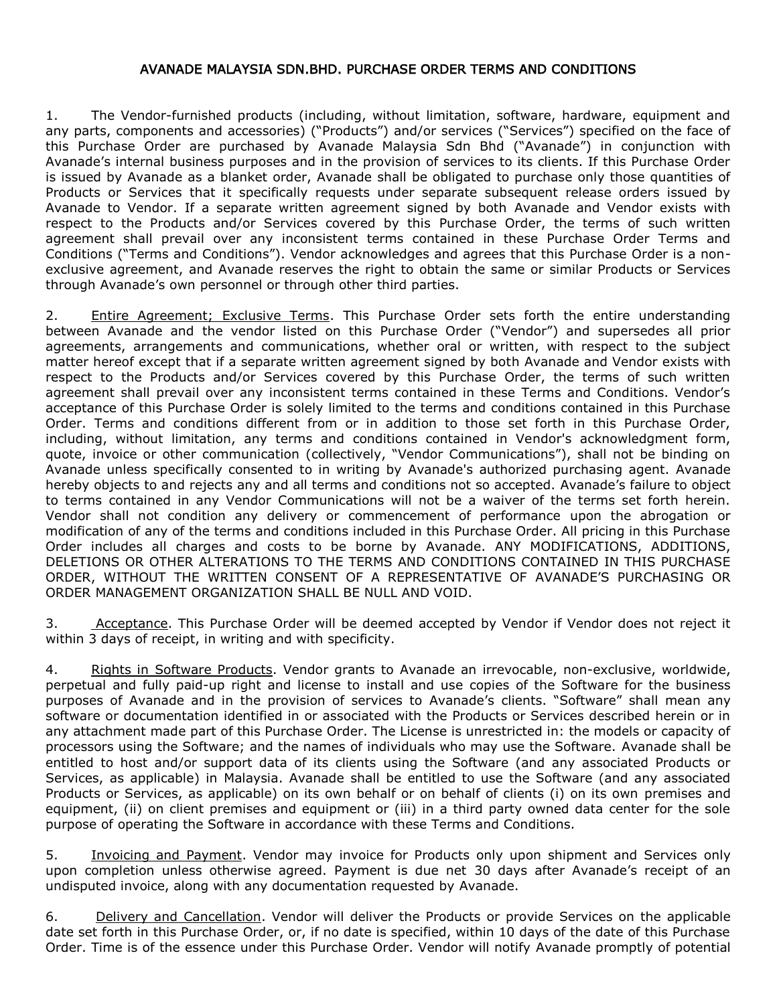## AVANADE MALAYSIA SDN.BHD. PURCHASE ORDER TERMS AND CONDITIONS

1. The Vendor-furnished products (including, without limitation, software, hardware, equipment and any parts, components and accessories) ("Products") and/or services ("Services") specified on the face of this Purchase Order are purchased by Avanade Malaysia Sdn Bhd ("Avanade") in conjunction with Avanade's internal business purposes and in the provision of services to its clients. If this Purchase Order is issued by Avanade as a blanket order, Avanade shall be obligated to purchase only those quantities of Products or Services that it specifically requests under separate subsequent release orders issued by Avanade to Vendor. If a separate written agreement signed by both Avanade and Vendor exists with respect to the Products and/or Services covered by this Purchase Order, the terms of such written agreement shall prevail over any inconsistent terms contained in these Purchase Order Terms and Conditions ("Terms and Conditions"). Vendor acknowledges and agrees that this Purchase Order is a nonexclusive agreement, and Avanade reserves the right to obtain the same or similar Products or Services through Avanade's own personnel or through other third parties.

2. Entire Agreement; Exclusive Terms. This Purchase Order sets forth the entire understanding between Avanade and the vendor listed on this Purchase Order ("Vendor") and supersedes all prior agreements, arrangements and communications, whether oral or written, with respect to the subject matter hereof except that if a separate written agreement signed by both Avanade and Vendor exists with respect to the Products and/or Services covered by this Purchase Order, the terms of such written agreement shall prevail over any inconsistent terms contained in these Terms and Conditions. Vendor's acceptance of this Purchase Order is solely limited to the terms and conditions contained in this Purchase Order. Terms and conditions different from or in addition to those set forth in this Purchase Order, including, without limitation, any terms and conditions contained in Vendor's acknowledgment form, quote, invoice or other communication (collectively, "Vendor Communications"), shall not be binding on Avanade unless specifically consented to in writing by Avanade's authorized purchasing agent. Avanade hereby objects to and rejects any and all terms and conditions not so accepted. Avanade's failure to object to terms contained in any Vendor Communications will not be a waiver of the terms set forth herein. Vendor shall not condition any delivery or commencement of performance upon the abrogation or modification of any of the terms and conditions included in this Purchase Order. All pricing in this Purchase Order includes all charges and costs to be borne by Avanade. ANY MODIFICATIONS, ADDITIONS, DELETIONS OR OTHER ALTERATIONS TO THE TERMS AND CONDITIONS CONTAINED IN THIS PURCHASE ORDER, WITHOUT THE WRITTEN CONSENT OF A REPRESENTATIVE OF AVANADE'S PURCHASING OR ORDER MANAGEMENT ORGANIZATION SHALL BE NULL AND VOID.

3. Acceptance. This Purchase Order will be deemed accepted by Vendor if Vendor does not reject it within 3 days of receipt, in writing and with specificity.

4. Rights in Software Products. Vendor grants to Avanade an irrevocable, non-exclusive, worldwide, perpetual and fully paid-up right and license to install and use copies of the Software for the business purposes of Avanade and in the provision of services to Avanade's clients. "Software" shall mean any software or documentation identified in or associated with the Products or Services described herein or in any attachment made part of this Purchase Order. The License is unrestricted in: the models or capacity of processors using the Software; and the names of individuals who may use the Software. Avanade shall be entitled to host and/or support data of its clients using the Software (and any associated Products or Services, as applicable) in Malaysia. Avanade shall be entitled to use the Software (and any associated Products or Services, as applicable) on its own behalf or on behalf of clients (i) on its own premises and equipment, (ii) on client premises and equipment or (iii) in a third party owned data center for the sole purpose of operating the Software in accordance with these Terms and Conditions.

5. Invoicing and Payment. Vendor may invoice for Products only upon shipment and Services only upon completion unless otherwise agreed. Payment is due net 30 days after Avanade's receipt of an undisputed invoice, along with any documentation requested by Avanade.

6. Delivery and Cancellation. Vendor will deliver the Products or provide Services on the applicable date set forth in this Purchase Order, or, if no date is specified, within 10 days of the date of this Purchase Order. Time is of the essence under this Purchase Order. Vendor will notify Avanade promptly of potential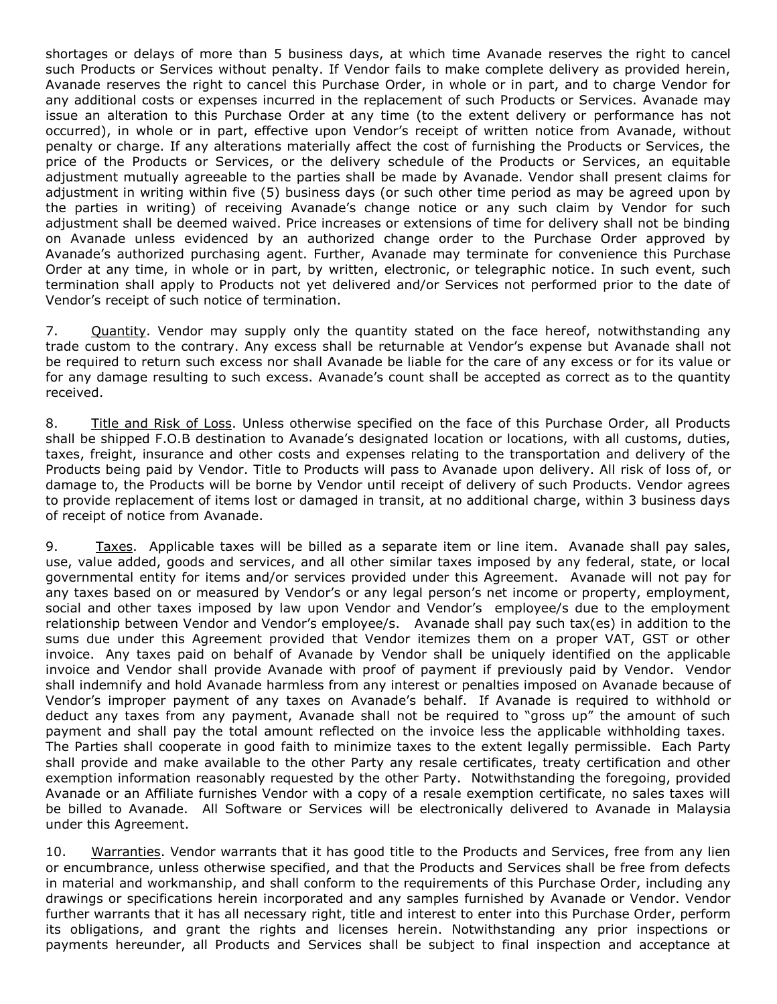shortages or delays of more than 5 business days, at which time Avanade reserves the right to cancel such Products or Services without penalty. If Vendor fails to make complete delivery as provided herein, Avanade reserves the right to cancel this Purchase Order, in whole or in part, and to charge Vendor for any additional costs or expenses incurred in the replacement of such Products or Services. Avanade may issue an alteration to this Purchase Order at any time (to the extent delivery or performance has not occurred), in whole or in part, effective upon Vendor's receipt of written notice from Avanade, without penalty or charge. If any alterations materially affect the cost of furnishing the Products or Services, the price of the Products or Services, or the delivery schedule of the Products or Services, an equitable adjustment mutually agreeable to the parties shall be made by Avanade. Vendor shall present claims for adjustment in writing within five (5) business days (or such other time period as may be agreed upon by the parties in writing) of receiving Avanade's change notice or any such claim by Vendor for such adjustment shall be deemed waived. Price increases or extensions of time for delivery shall not be binding on Avanade unless evidenced by an authorized change order to the Purchase Order approved by Avanade's authorized purchasing agent. Further, Avanade may terminate for convenience this Purchase Order at any time, in whole or in part, by written, electronic, or telegraphic notice. In such event, such termination shall apply to Products not yet delivered and/or Services not performed prior to the date of Vendor's receipt of such notice of termination.

7. Quantity. Vendor may supply only the quantity stated on the face hereof, notwithstanding any trade custom to the contrary. Any excess shall be returnable at Vendor's expense but Avanade shall not be required to return such excess nor shall Avanade be liable for the care of any excess or for its value or for any damage resulting to such excess. Avanade's count shall be accepted as correct as to the quantity received.

8. Title and Risk of Loss. Unless otherwise specified on the face of this Purchase Order, all Products shall be shipped F.O.B destination to Avanade's designated location or locations, with all customs, duties, taxes, freight, insurance and other costs and expenses relating to the transportation and delivery of the Products being paid by Vendor. Title to Products will pass to Avanade upon delivery. All risk of loss of, or damage to, the Products will be borne by Vendor until receipt of delivery of such Products. Vendor agrees to provide replacement of items lost or damaged in transit, at no additional charge, within 3 business days of receipt of notice from Avanade.

9. Taxes. Applicable taxes will be billed as a separate item or line item. Avanade shall pay sales, use, value added, goods and services, and all other similar taxes imposed by any federal, state, or local governmental entity for items and/or services provided under this Agreement. Avanade will not pay for any taxes based on or measured by Vendor's or any legal person's net income or property, employment, social and other taxes imposed by law upon Vendor and Vendor's employee/s due to the employment relationship between Vendor and Vendor's employee/s. Avanade shall pay such tax(es) in addition to the sums due under this Agreement provided that Vendor itemizes them on a proper VAT, GST or other invoice. Any taxes paid on behalf of Avanade by Vendor shall be uniquely identified on the applicable invoice and Vendor shall provide Avanade with proof of payment if previously paid by Vendor. Vendor shall indemnify and hold Avanade harmless from any interest or penalties imposed on Avanade because of Vendor's improper payment of any taxes on Avanade's behalf. If Avanade is required to withhold or deduct any taxes from any payment, Avanade shall not be required to "gross up" the amount of such payment and shall pay the total amount reflected on the invoice less the applicable withholding taxes. The Parties shall cooperate in good faith to minimize taxes to the extent legally permissible. Each Party shall provide and make available to the other Party any resale certificates, treaty certification and other exemption information reasonably requested by the other Party. Notwithstanding the foregoing, provided Avanade or an Affiliate furnishes Vendor with a copy of a resale exemption certificate, no sales taxes will be billed to Avanade. All Software or Services will be electronically delivered to Avanade in Malaysia under this Agreement.

10. Warranties. Vendor warrants that it has good title to the Products and Services, free from any lien or encumbrance, unless otherwise specified, and that the Products and Services shall be free from defects in material and workmanship, and shall conform to the requirements of this Purchase Order, including any drawings or specifications herein incorporated and any samples furnished by Avanade or Vendor. Vendor further warrants that it has all necessary right, title and interest to enter into this Purchase Order, perform its obligations, and grant the rights and licenses herein. Notwithstanding any prior inspections or payments hereunder, all Products and Services shall be subject to final inspection and acceptance at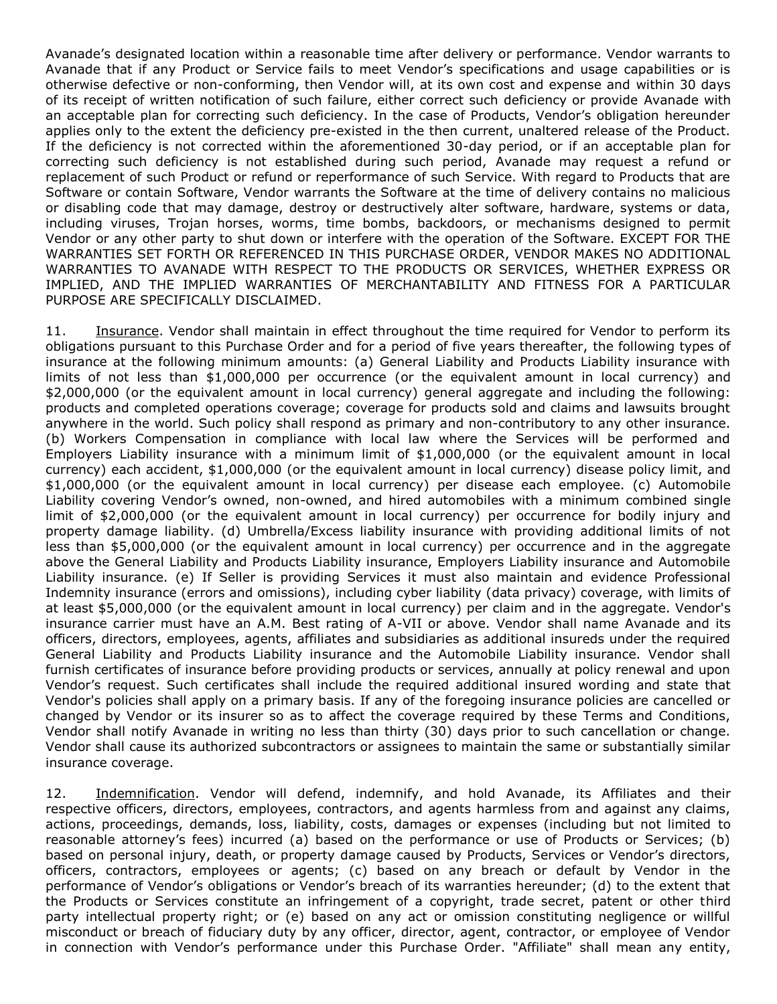Avanade's designated location within a reasonable time after delivery or performance. Vendor warrants to Avanade that if any Product or Service fails to meet Vendor's specifications and usage capabilities or is otherwise defective or non-conforming, then Vendor will, at its own cost and expense and within 30 days of its receipt of written notification of such failure, either correct such deficiency or provide Avanade with an acceptable plan for correcting such deficiency. In the case of Products, Vendor's obligation hereunder applies only to the extent the deficiency pre-existed in the then current, unaltered release of the Product. If the deficiency is not corrected within the aforementioned 30-day period, or if an acceptable plan for correcting such deficiency is not established during such period, Avanade may request a refund or replacement of such Product or refund or reperformance of such Service. With regard to Products that are Software or contain Software, Vendor warrants the Software at the time of delivery contains no malicious or disabling code that may damage, destroy or destructively alter software, hardware, systems or data, including viruses, Trojan horses, worms, time bombs, backdoors, or mechanisms designed to permit Vendor or any other party to shut down or interfere with the operation of the Software. EXCEPT FOR THE WARRANTIES SET FORTH OR REFERENCED IN THIS PURCHASE ORDER, VENDOR MAKES NO ADDITIONAL WARRANTIES TO AVANADE WITH RESPECT TO THE PRODUCTS OR SERVICES, WHETHER EXPRESS OR IMPLIED, AND THE IMPLIED WARRANTIES OF MERCHANTABILITY AND FITNESS FOR A PARTICULAR PURPOSE ARE SPECIFICALLY DISCLAIMED.

11. Insurance. Vendor shall maintain in effect throughout the time required for Vendor to perform its obligations pursuant to this Purchase Order and for a period of five years thereafter, the following types of insurance at the following minimum amounts: (a) General Liability and Products Liability insurance with limits of not less than \$1,000,000 per occurrence (or the equivalent amount in local currency) and \$2,000,000 (or the equivalent amount in local currency) general aggregate and including the following: products and completed operations coverage; coverage for products sold and claims and lawsuits brought anywhere in the world. Such policy shall respond as primary and non-contributory to any other insurance. (b) Workers Compensation in compliance with local law where the Services will be performed and Employers Liability insurance with a minimum limit of \$1,000,000 (or the equivalent amount in local currency) each accident, \$1,000,000 (or the equivalent amount in local currency) disease policy limit, and \$1,000,000 (or the equivalent amount in local currency) per disease each employee. (c) Automobile Liability covering Vendor's owned, non-owned, and hired automobiles with a minimum combined single limit of \$2,000,000 (or the equivalent amount in local currency) per occurrence for bodily injury and property damage liability. (d) Umbrella/Excess liability insurance with providing additional limits of not less than \$5,000,000 (or the equivalent amount in local currency) per occurrence and in the aggregate above the General Liability and Products Liability insurance, Employers Liability insurance and Automobile Liability insurance. (e) If Seller is providing Services it must also maintain and evidence Professional Indemnity insurance (errors and omissions), including cyber liability (data privacy) coverage, with limits of at least \$5,000,000 (or the equivalent amount in local currency) per claim and in the aggregate. Vendor's insurance carrier must have an A.M. Best rating of A-VII or above. Vendor shall name Avanade and its officers, directors, employees, agents, affiliates and subsidiaries as additional insureds under the required General Liability and Products Liability insurance and the Automobile Liability insurance. Vendor shall furnish certificates of insurance before providing products or services, annually at policy renewal and upon Vendor's request. Such certificates shall include the required additional insured wording and state that Vendor's policies shall apply on a primary basis. If any of the foregoing insurance policies are cancelled or changed by Vendor or its insurer so as to affect the coverage required by these Terms and Conditions, Vendor shall notify Avanade in writing no less than thirty (30) days prior to such cancellation or change. Vendor shall cause its authorized subcontractors or assignees to maintain the same or substantially similar insurance coverage.

12. Indemnification. Vendor will defend, indemnify, and hold Avanade, its Affiliates and their respective officers, directors, employees, contractors, and agents harmless from and against any claims, actions, proceedings, demands, loss, liability, costs, damages or expenses (including but not limited to reasonable attorney's fees) incurred (a) based on the performance or use of Products or Services; (b) based on personal injury, death, or property damage caused by Products, Services or Vendor's directors, officers, contractors, employees or agents; (c) based on any breach or default by Vendor in the performance of Vendor's obligations or Vendor's breach of its warranties hereunder; (d) to the extent that the Products or Services constitute an infringement of a copyright, trade secret, patent or other third party intellectual property right; or (e) based on any act or omission constituting negligence or willful misconduct or breach of fiduciary duty by any officer, director, agent, contractor, or employee of Vendor in connection with Vendor's performance under this Purchase Order. "Affiliate" shall mean any entity,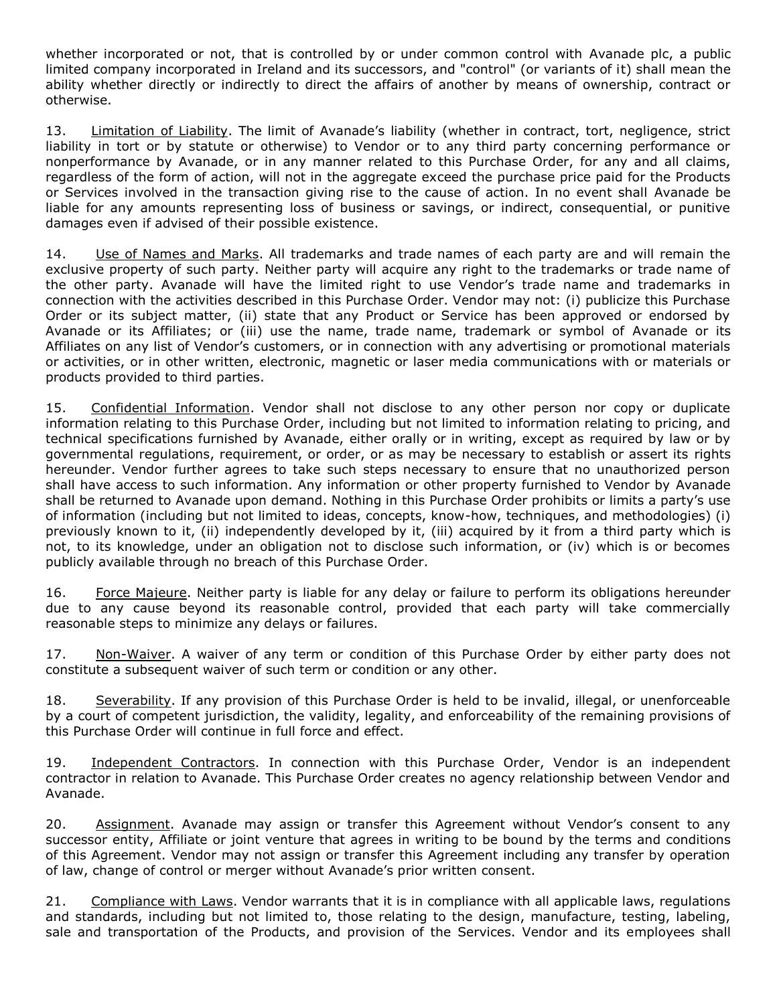whether incorporated or not, that is controlled by or under common control with Avanade plc, a public limited company incorporated in Ireland and its successors, and "control" (or variants of it) shall mean the ability whether directly or indirectly to direct the affairs of another by means of ownership, contract or otherwise.

13. Limitation of Liability. The limit of Avanade's liability (whether in contract, tort, negligence, strict liability in tort or by statute or otherwise) to Vendor or to any third party concerning performance or nonperformance by Avanade, or in any manner related to this Purchase Order, for any and all claims, regardless of the form of action, will not in the aggregate exceed the purchase price paid for the Products or Services involved in the transaction giving rise to the cause of action. In no event shall Avanade be liable for any amounts representing loss of business or savings, or indirect, consequential, or punitive damages even if advised of their possible existence.

14. Use of Names and Marks. All trademarks and trade names of each party are and will remain the exclusive property of such party. Neither party will acquire any right to the trademarks or trade name of the other party. Avanade will have the limited right to use Vendor's trade name and trademarks in connection with the activities described in this Purchase Order. Vendor may not: (i) publicize this Purchase Order or its subject matter, (ii) state that any Product or Service has been approved or endorsed by Avanade or its Affiliates; or (iii) use the name, trade name, trademark or symbol of Avanade or its Affiliates on any list of Vendor's customers, or in connection with any advertising or promotional materials or activities, or in other written, electronic, magnetic or laser media communications with or materials or products provided to third parties.

15. Confidential Information. Vendor shall not disclose to any other person nor copy or duplicate information relating to this Purchase Order, including but not limited to information relating to pricing, and technical specifications furnished by Avanade, either orally or in writing, except as required by law or by governmental regulations, requirement, or order, or as may be necessary to establish or assert its rights hereunder. Vendor further agrees to take such steps necessary to ensure that no unauthorized person shall have access to such information. Any information or other property furnished to Vendor by Avanade shall be returned to Avanade upon demand. Nothing in this Purchase Order prohibits or limits a party's use of information (including but not limited to ideas, concepts, know-how, techniques, and methodologies) (i) previously known to it, (ii) independently developed by it, (iii) acquired by it from a third party which is not, to its knowledge, under an obligation not to disclose such information, or (iv) which is or becomes publicly available through no breach of this Purchase Order.

16. Force Majeure. Neither party is liable for any delay or failure to perform its obligations hereunder due to any cause beyond its reasonable control, provided that each party will take commercially reasonable steps to minimize any delays or failures.

17. Non-Waiver. A waiver of any term or condition of this Purchase Order by either party does not constitute a subsequent waiver of such term or condition or any other.

18. Severability. If any provision of this Purchase Order is held to be invalid, illegal, or unenforceable by a court of competent jurisdiction, the validity, legality, and enforceability of the remaining provisions of this Purchase Order will continue in full force and effect.

19. Independent Contractors. In connection with this Purchase Order, Vendor is an independent contractor in relation to Avanade. This Purchase Order creates no agency relationship between Vendor and Avanade.

20. Assignment. Avanade may assign or transfer this Agreement without Vendor's consent to any successor entity, Affiliate or joint venture that agrees in writing to be bound by the terms and conditions of this Agreement. Vendor may not assign or transfer this Agreement including any transfer by operation of law, change of control or merger without Avanade's prior written consent.

21. Compliance with Laws. Vendor warrants that it is in compliance with all applicable laws, regulations and standards, including but not limited to, those relating to the design, manufacture, testing, labeling, sale and transportation of the Products, and provision of the Services. Vendor and its employees shall